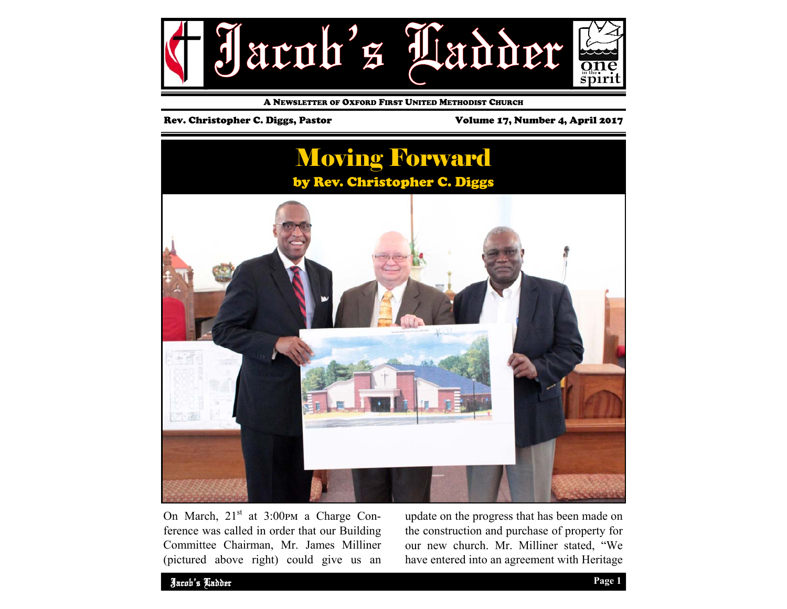

A NEWSLETTER OF OXFORD FIRST UNITED METHODIST CHURCH

#### Rev. Christopher C. Diggs, Pastor Volume 17, Number 4, April 2017



On March,  $21<sup>st</sup>$  at  $3:00<sup>pm</sup>$  a Charge Conference was called in order that our Building Committee Chairman, Mr. James Milliner (pictured above right) could give us an update on the progress that has been made on the construction and purchase of property for our new church. Mr. Milliner stated, "We have entered into an agreement with Heritage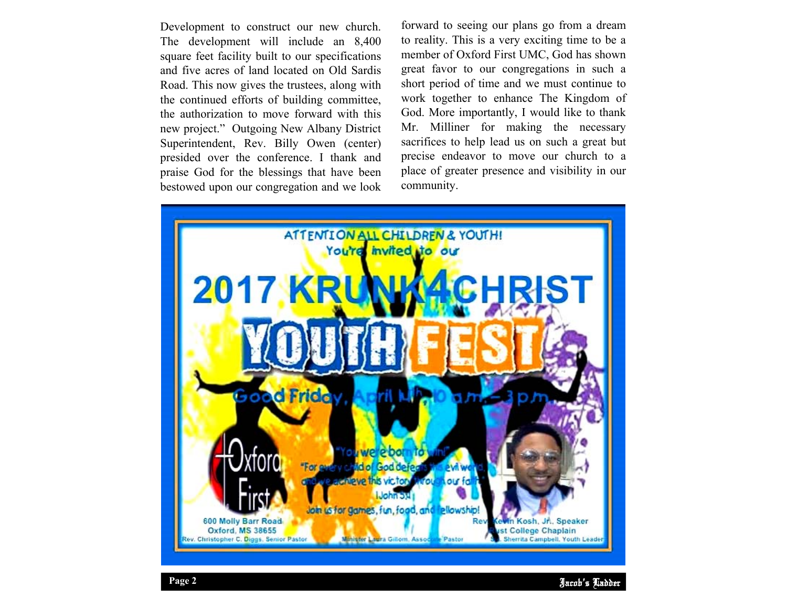Development to construct our new church. The development will include an 8,400 square feet facility built to our specifications and five acres of land located on Old Sardis Road. This now gives the trustees, along with the continued efforts of building committee, the authorization to move forward with this new project." Outgoing New Albany District Superintendent, Rev. Billy Owen (center) presided over the conference. I thank and praise God for the blessings that have been bestowed upon our congregation and we look

forward to seeing our plans go from a dream to reality. This is a very exciting time to be a member of Oxford First UMC, God has shown great favor to our congregations in such a short period of time and we must continue to work together to enhance The Kingdom of God. More importantly, I would like to thank Mr. Milliner for making the necessary sacrifices to help lead us on such a great but precise endeavor to move our church to a place of greater presence and visibility in our community.

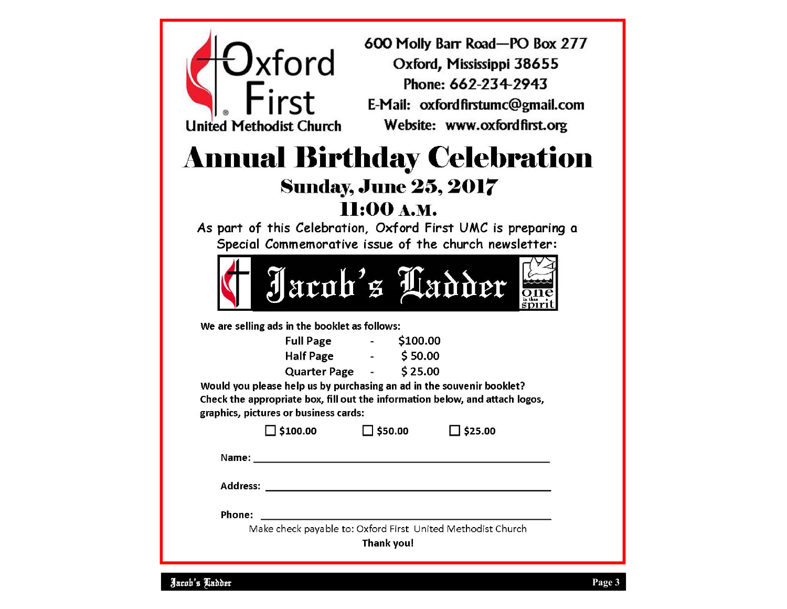## 600 Molly Barr Road-PO Box 277  $J$ xford Oxford, Mississippi 38655 Phone: 662-234-2943  $First$ rnone: 662-234-2943<br>E-Mail: oxfordfirstumc@gmail.com United Methodist Church Website: www.oxfordfirst.org **Annual Birthday Celebration Sunday, June 25, 2017** 11:00 А.М. As part of this Celebration, Oxford First UMC is preparing a Special Commemorative issue of the church newsletter: Jacob's Ladder We are selling ads in the booklet as follows: Full Page - \$100.00<br>Half Page - \$50.00  $$25.00$ Would you please help us by purchasing an ad in the souvenir booklet? Check the appropriate box, fill out the information below, and attach logos, graphics, pictures or business cards:  $\Box$  \$100.00  $\Box$  \$50.00  $\Box$  \$25.00 Name: We have a state of the state of the state of the state of the state of the state of the state of the state of the state of the state of the state of the state of the state of the state of the state of the state of th Phone: Make check payable to: Oxford First United Methodist Church Thank you!